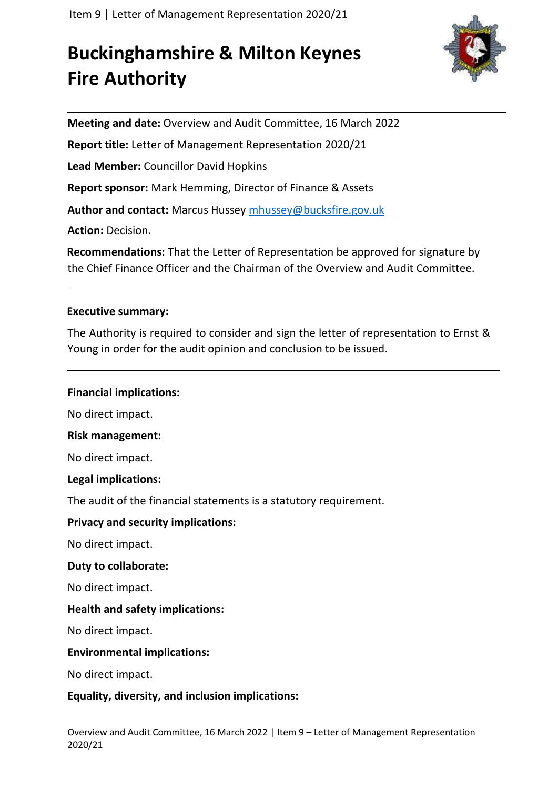# **Buckinghamshire & Milton Keynes Fire Authority**



**Meeting and date:** Overview and Audit Committee, 16 March 2022

**Report title:** Letter of Management Representation 2020/21

**Lead Member:** Councillor David Hopkins

**Report sponsor:** Mark Hemming, Director of Finance & Assets

**Author and contact:** Marcus Hussey [mhussey@bucksfire.gov.uk](mailto:mhussey@bucksfire.gov.uk)

**Action:** Decision.

**Recommendations:** That the Letter of Representation be approved for signature by the Chief Finance Officer and the Chairman of the Overview and Audit Committee.

# **Executive summary:**

The Authority is required to consider and sign the letter of representation to Ernst & Young in order for the audit opinion and conclusion to be issued.

# **Financial implications:**

No direct impact.

# **Risk management:**

No direct impact.

# **Legal implications:**

The audit of the financial statements is a statutory requirement.

# **Privacy and security implications:**

No direct impact.

# **Duty to collaborate:**

No direct impact.

# **Health and safety implications:**

No direct impact.

# **Environmental implications:**

No direct impact.

# **Equality, diversity, and inclusion implications:**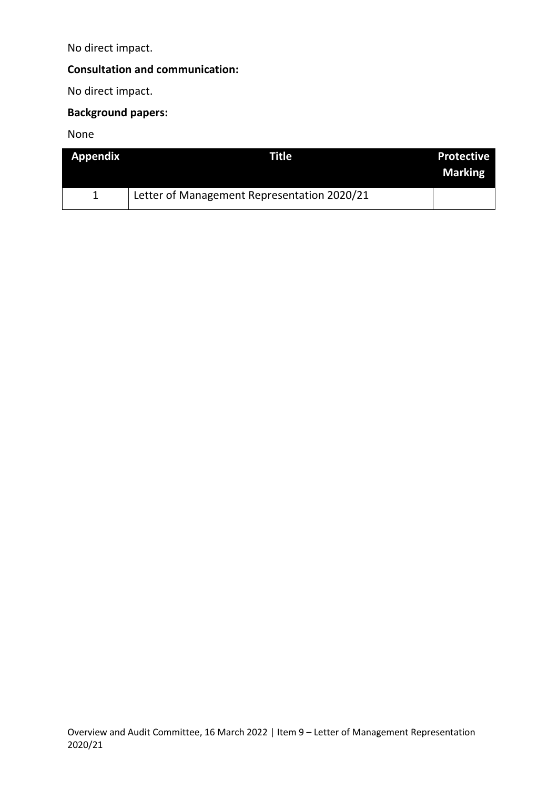No direct impact.

# **Consultation and communication:**

No direct impact.

# **Background papers:**

None

| <b>Appendix</b> | Title                                       | <b>Protective</b><br><b>Marking</b> |
|-----------------|---------------------------------------------|-------------------------------------|
|                 | Letter of Management Representation 2020/21 |                                     |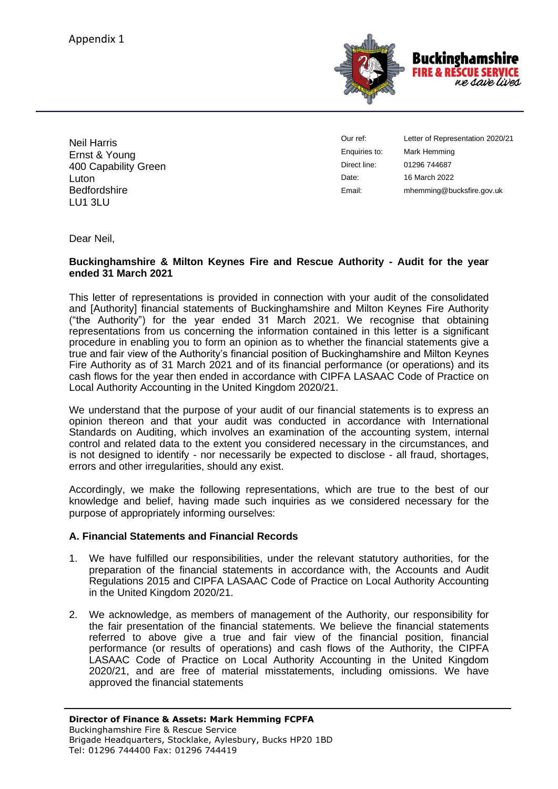

Neil Harris Ernst & Young 400 Capability Green Luton **Bedfordshire** LU1 3LU

Our ref: Enquiries to: Direct line: Date: Email:

Letter of Representation 2020/21 Mark Hemming 01296 744687 16 March 2022 mhemming@bucksfire.gov.uk

Dear Neil,

#### **Buckinghamshire & Milton Keynes Fire and Rescue Authority - Audit for the year ended 31 March 2021**

This letter of representations is provided in connection with your audit of the consolidated and [Authority] financial statements of Buckinghamshire and Milton Keynes Fire Authority ("the Authority") for the year ended 31 March 2021. We recognise that obtaining representations from us concerning the information contained in this letter is a significant procedure in enabling you to form an opinion as to whether the financial statements give a true and fair view of the Authority's financial position of Buckinghamshire and Milton Keynes Fire Authority as of 31 March 2021 and of its financial performance (or operations) and its cash flows for the year then ended in accordance with CIPFA LASAAC Code of Practice on Local Authority Accounting in the United Kingdom 2020/21.

We understand that the purpose of your audit of our financial statements is to express an opinion thereon and that your audit was conducted in accordance with International Standards on Auditing, which involves an examination of the accounting system, internal control and related data to the extent you considered necessary in the circumstances, and is not designed to identify - nor necessarily be expected to disclose - all fraud, shortages, errors and other irregularities, should any exist.

Accordingly, we make the following representations, which are true to the best of our knowledge and belief, having made such inquiries as we considered necessary for the purpose of appropriately informing ourselves:

#### **A. Financial Statements and Financial Records**

- 1. We have fulfilled our responsibilities, under the relevant statutory authorities, for the preparation of the financial statements in accordance with, the Accounts and Audit Regulations 2015 and CIPFA LASAAC Code of Practice on Local Authority Accounting in the United Kingdom 2020/21.
- 2. We acknowledge, as members of management of the Authority, our responsibility for the fair presentation of the financial statements. We believe the financial statements referred to above give a true and fair view of the financial position, financial performance (or results of operations) and cash flows of the Authority, the CIPFA LASAAC Code of Practice on Local Authority Accounting in the United Kingdom 2020/21, and are free of material misstatements, including omissions. We have approved the financial statements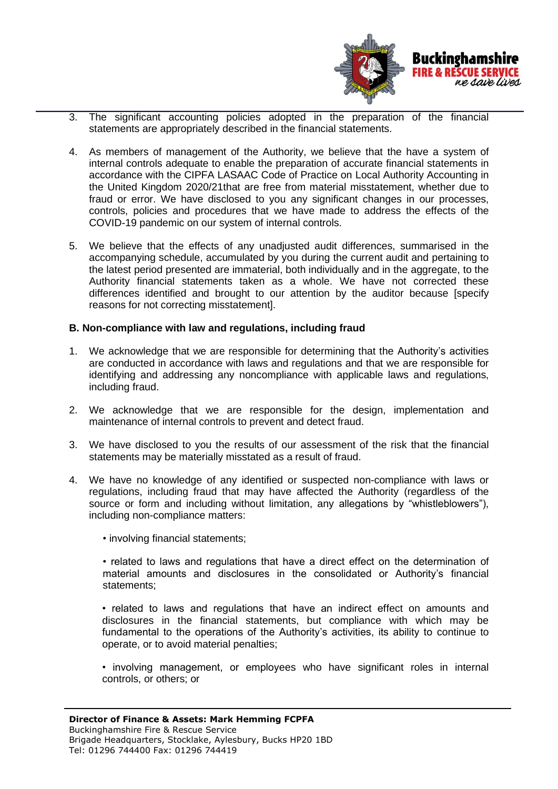

- 3. The significant accounting policies adopted in the preparation of the financial statements are appropriately described in the financial statements.
- 4. As members of management of the Authority, we believe that the have a system of internal controls adequate to enable the preparation of accurate financial statements in accordance with the CIPFA LASAAC Code of Practice on Local Authority Accounting in the United Kingdom 2020/21that are free from material misstatement, whether due to fraud or error. We have disclosed to you any significant changes in our processes, controls, policies and procedures that we have made to address the effects of the COVID-19 pandemic on our system of internal controls.
- 5. We believe that the effects of any unadjusted audit differences, summarised in the accompanying schedule, accumulated by you during the current audit and pertaining to the latest period presented are immaterial, both individually and in the aggregate, to the Authority financial statements taken as a whole. We have not corrected these differences identified and brought to our attention by the auditor because [specify reasons for not correcting misstatement].

#### **B. Non-compliance with law and regulations, including fraud**

- 1. We acknowledge that we are responsible for determining that the Authority's activities are conducted in accordance with laws and regulations and that we are responsible for identifying and addressing any noncompliance with applicable laws and regulations, including fraud.
- 2. We acknowledge that we are responsible for the design, implementation and maintenance of internal controls to prevent and detect fraud.
- 3. We have disclosed to you the results of our assessment of the risk that the financial statements may be materially misstated as a result of fraud.
- 4. We have no knowledge of any identified or suspected non-compliance with laws or regulations, including fraud that may have affected the Authority (regardless of the source or form and including without limitation, any allegations by "whistleblowers"), including non-compliance matters:
	- involving financial statements;
	- related to laws and regulations that have a direct effect on the determination of material amounts and disclosures in the consolidated or Authority's financial statements;
	- related to laws and regulations that have an indirect effect on amounts and disclosures in the financial statements, but compliance with which may be fundamental to the operations of the Authority's activities, its ability to continue to operate, or to avoid material penalties;
	- involving management, or employees who have significant roles in internal controls, or others; or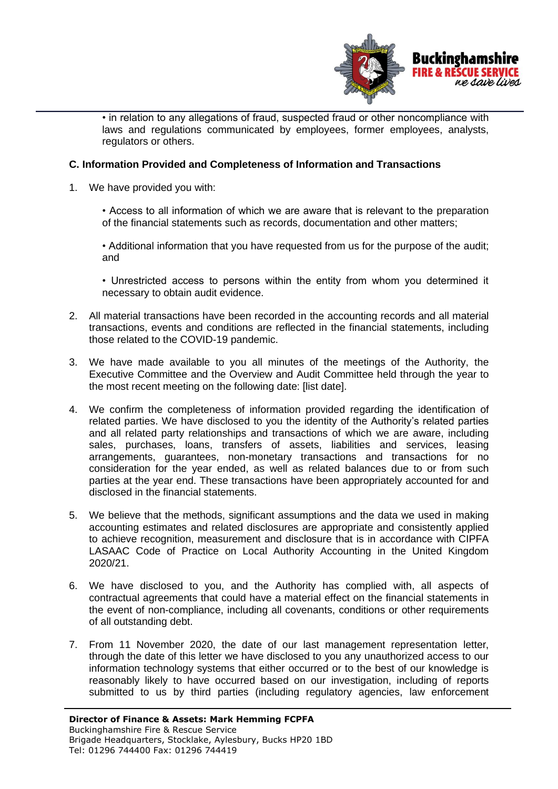

• in relation to any allegations of fraud, suspected fraud or other noncompliance with laws and regulations communicated by employees, former employees, analysts, regulators or others.

#### **C. Information Provided and Completeness of Information and Transactions**

1. We have provided you with:

• Access to all information of which we are aware that is relevant to the preparation of the financial statements such as records, documentation and other matters;

• Additional information that you have requested from us for the purpose of the audit; and

• Unrestricted access to persons within the entity from whom you determined it necessary to obtain audit evidence.

- 2. All material transactions have been recorded in the accounting records and all material transactions, events and conditions are reflected in the financial statements, including those related to the COVID-19 pandemic.
- 3. We have made available to you all minutes of the meetings of the Authority, the Executive Committee and the Overview and Audit Committee held through the year to the most recent meeting on the following date: [list date].
- 4. We confirm the completeness of information provided regarding the identification of related parties. We have disclosed to you the identity of the Authority's related parties and all related party relationships and transactions of which we are aware, including sales, purchases, loans, transfers of assets, liabilities and services, leasing arrangements, guarantees, non-monetary transactions and transactions for no consideration for the year ended, as well as related balances due to or from such parties at the year end. These transactions have been appropriately accounted for and disclosed in the financial statements.
- 5. We believe that the methods, significant assumptions and the data we used in making accounting estimates and related disclosures are appropriate and consistently applied to achieve recognition, measurement and disclosure that is in accordance with CIPFA LASAAC Code of Practice on Local Authority Accounting in the United Kingdom 2020/21.
- 6. We have disclosed to you, and the Authority has complied with, all aspects of contractual agreements that could have a material effect on the financial statements in the event of non-compliance, including all covenants, conditions or other requirements of all outstanding debt.
- 7. From 11 November 2020, the date of our last management representation letter, through the date of this letter we have disclosed to you any unauthorized access to our information technology systems that either occurred or to the best of our knowledge is reasonably likely to have occurred based on our investigation, including of reports submitted to us by third parties (including regulatory agencies, law enforcement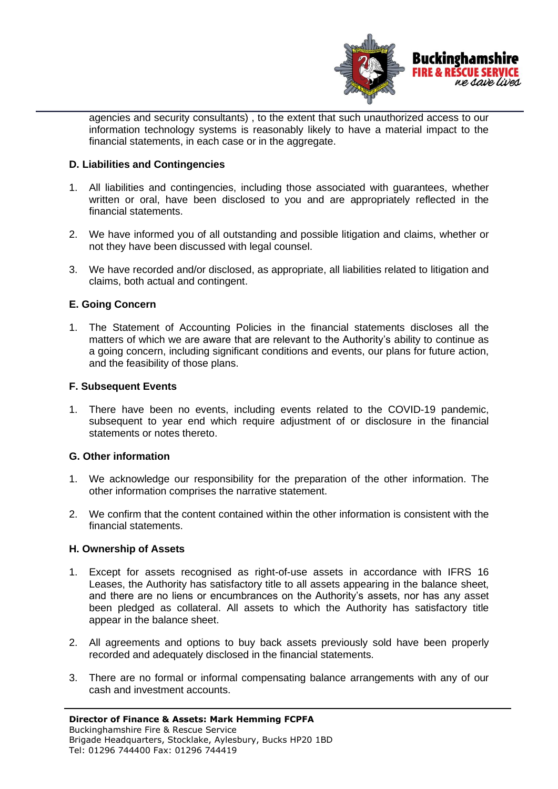

agencies and security consultants) , to the extent that such unauthorized access to our information technology systems is reasonably likely to have a material impact to the financial statements, in each case or in the aggregate.

#### **D. Liabilities and Contingencies**

- 1. All liabilities and contingencies, including those associated with guarantees, whether written or oral, have been disclosed to you and are appropriately reflected in the financial statements.
- 2. We have informed you of all outstanding and possible litigation and claims, whether or not they have been discussed with legal counsel.
- 3. We have recorded and/or disclosed, as appropriate, all liabilities related to litigation and claims, both actual and contingent.

#### **E. Going Concern**

1. The Statement of Accounting Policies in the financial statements discloses all the matters of which we are aware that are relevant to the Authority's ability to continue as a going concern, including significant conditions and events, our plans for future action, and the feasibility of those plans.

#### **F. Subsequent Events**

1. There have been no events, including events related to the COVID-19 pandemic, subsequent to year end which require adjustment of or disclosure in the financial statements or notes thereto.

#### **G. Other information**

- 1. We acknowledge our responsibility for the preparation of the other information. The other information comprises the narrative statement.
- 2. We confirm that the content contained within the other information is consistent with the financial statements.

#### **H. Ownership of Assets**

- 1. Except for assets recognised as right-of-use assets in accordance with IFRS 16 Leases, the Authority has satisfactory title to all assets appearing in the balance sheet, and there are no liens or encumbrances on the Authority's assets, nor has any asset been pledged as collateral. All assets to which the Authority has satisfactory title appear in the balance sheet.
- 2. All agreements and options to buy back assets previously sold have been properly recorded and adequately disclosed in the financial statements.
- 3. There are no formal or informal compensating balance arrangements with any of our cash and investment accounts.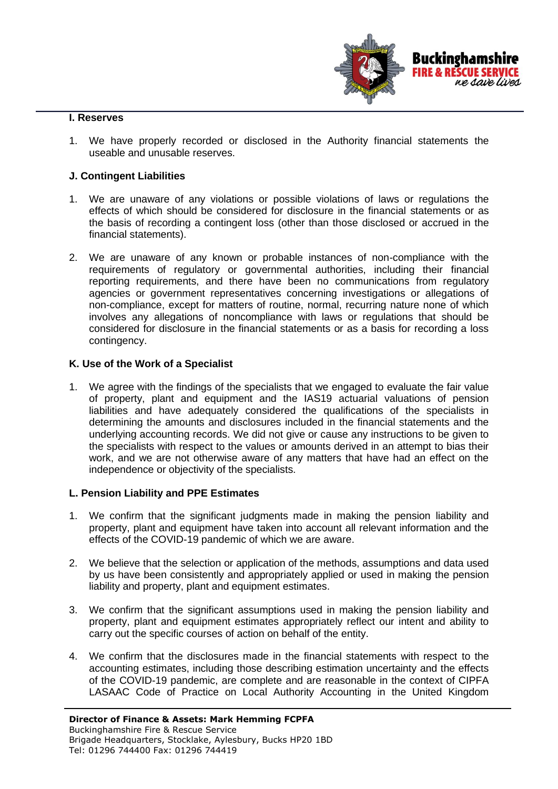

#### **I. Reserves**

1. We have properly recorded or disclosed in the Authority financial statements the useable and unusable reserves.

#### **J. Contingent Liabilities**

- 1. We are unaware of any violations or possible violations of laws or regulations the effects of which should be considered for disclosure in the financial statements or as the basis of recording a contingent loss (other than those disclosed or accrued in the financial statements).
- 2. We are unaware of any known or probable instances of non-compliance with the requirements of regulatory or governmental authorities, including their financial reporting requirements, and there have been no communications from regulatory agencies or government representatives concerning investigations or allegations of non-compliance, except for matters of routine, normal, recurring nature none of which involves any allegations of noncompliance with laws or regulations that should be considered for disclosure in the financial statements or as a basis for recording a loss contingency.

#### **K. Use of the Work of a Specialist**

1. We agree with the findings of the specialists that we engaged to evaluate the fair value of property, plant and equipment and the IAS19 actuarial valuations of pension liabilities and have adequately considered the qualifications of the specialists in determining the amounts and disclosures included in the financial statements and the underlying accounting records. We did not give or cause any instructions to be given to the specialists with respect to the values or amounts derived in an attempt to bias their work, and we are not otherwise aware of any matters that have had an effect on the independence or objectivity of the specialists.

#### **L. Pension Liability and PPE Estimates**

- 1. We confirm that the significant judgments made in making the pension liability and property, plant and equipment have taken into account all relevant information and the effects of the COVID-19 pandemic of which we are aware.
- 2. We believe that the selection or application of the methods, assumptions and data used by us have been consistently and appropriately applied or used in making the pension liability and property, plant and equipment estimates.
- 3. We confirm that the significant assumptions used in making the pension liability and property, plant and equipment estimates appropriately reflect our intent and ability to carry out the specific courses of action on behalf of the entity.
- 4. We confirm that the disclosures made in the financial statements with respect to the accounting estimates, including those describing estimation uncertainty and the effects of the COVID-19 pandemic, are complete and are reasonable in the context of CIPFA LASAAC Code of Practice on Local Authority Accounting in the United Kingdom